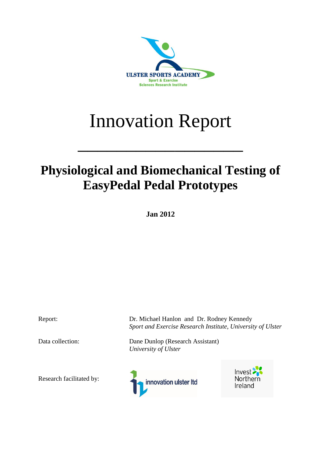

# Innovation Report

 $\mathcal{L}=\mathcal{L}=\mathcal{L}=\mathcal{L}=\mathcal{L}=\mathcal{L}=\mathcal{L}=\mathcal{L}=\mathcal{L}=\mathcal{L}=\mathcal{L}=\mathcal{L}=\mathcal{L}=\mathcal{L}=\mathcal{L}=\mathcal{L}=\mathcal{L}=\mathcal{L}=\mathcal{L}=\mathcal{L}=\mathcal{L}=\mathcal{L}=\mathcal{L}=\mathcal{L}=\mathcal{L}=\mathcal{L}=\mathcal{L}=\mathcal{L}=\mathcal{L}=\mathcal{L}=\mathcal{L}=\mathcal{L}=\mathcal{L}=\mathcal{L}=\mathcal{L}=\mathcal{L}=\mathcal{$ 

# **Physiological and Biomechanical Testing of EasyPedal Pedal Prototypes**

**Jan 2012**

Research facilitated by:

Report: Dr. Michael Hanlon and Dr. Rodney Kennedy *Sport and Exercise Research Institute, University of Ulster*

Data collection: Dane Dunlop (Research Assistant) *University of Ulster*



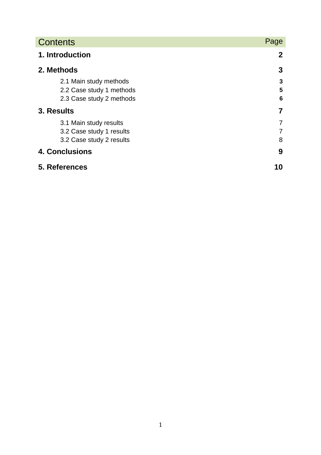| <b>Contents</b>          | Page           |
|--------------------------|----------------|
| 1. Introduction          | $\mathbf{2}$   |
| 2. Methods               | 3              |
| 2.1 Main study methods   | 3              |
| 2.2 Case study 1 methods | 5              |
| 2.3 Case study 2 methods | 6              |
| 3. Results               | 7              |
| 3.1 Main study results   | 7              |
| 3.2 Case study 1 results | $\overline{7}$ |
| 3.2 Case study 2 results | 8              |
| <b>4. Conclusions</b>    | 9              |
| 5. References            | 10             |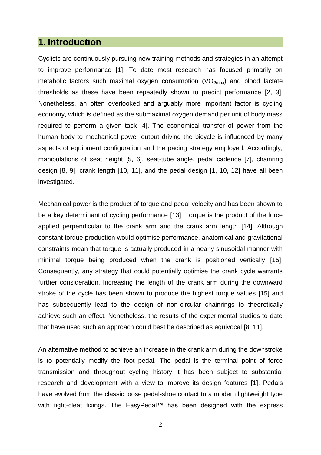# **1. Introduction**

Cyclists are continuously pursuing new training methods and strategies in an attempt to improve performance [1]. To date most research has focused primarily on metabolic factors such maximal oxygen consumption  $(VO_{2max})$  and blood lactate thresholds as these have been repeatedly shown to predict performance [2, 3]. Nonetheless, an often overlooked and arguably more important factor is cycling economy, which is defined as the submaximal oxygen demand per unit of body mass required to perform a given task [4]. The economical transfer of power from the human body to mechanical power output driving the bicycle is influenced by many aspects of equipment configuration and the pacing strategy employed. Accordingly, manipulations of seat height [5, 6], seat-tube angle, pedal cadence [7], chainring design [8, 9], crank length [10, 11], and the pedal design [1, 10, 12] have all been investigated.

Mechanical power is the product of torque and pedal velocity and has been shown to be a key determinant of cycling performance [13]. Torque is the product of the force applied perpendicular to the crank arm and the crank arm length [14]. Although constant torque production would optimise performance, anatomical and gravitational constraints mean that torque is actually produced in a nearly sinusoidal manner with minimal torque being produced when the crank is positioned vertically [15]. Consequently, any strategy that could potentially optimise the crank cycle warrants further consideration. Increasing the length of the crank arm during the downward stroke of the cycle has been shown to produce the highest torque values [15] and has subsequently lead to the design of non-circular chainrings to theoretically achieve such an effect. Nonetheless, the results of the experimental studies to date that have used such an approach could best be described as equivocal [8, 11].

An alternative method to achieve an increase in the crank arm during the downstroke is to potentially modify the foot pedal. The pedal is the terminal point of force transmission and throughout cycling history it has been subject to substantial research and development with a view to improve its design features [1]. Pedals have evolved from the classic loose pedal-shoe contact to a modern lightweight type with tight-cleat fixings. The EasyPedal™ has been designed with the express

2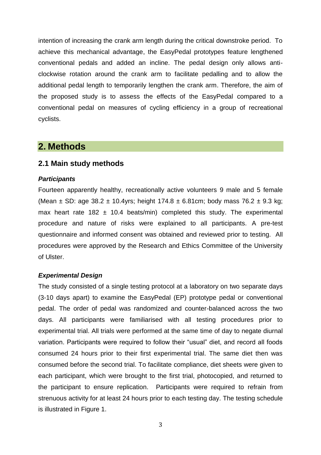intention of increasing the crank arm length during the critical downstroke period. To achieve this mechanical advantage, the EasyPedal prototypes feature lengthened conventional pedals and added an incline. The pedal design only allows anticlockwise rotation around the crank arm to facilitate pedalling and to allow the additional pedal length to temporarily lengthen the crank arm. Therefore, the aim of the proposed study is to assess the effects of the EasyPedal compared to a conventional pedal on measures of cycling efficiency in a group of recreational cyclists.

# **2. Methods**

#### **2.1 Main study methods**

#### *Participants*

Fourteen apparently healthy, recreationally active volunteers 9 male and 5 female (Mean  $\pm$  SD: age 38.2  $\pm$  10.4yrs; height 174.8  $\pm$  6.81cm; body mass 76.2  $\pm$  9.3 kg; max heart rate 182  $\pm$  10.4 beats/min) completed this study. The experimental procedure and nature of risks were explained to all participants. A pre-test questionnaire and informed consent was obtained and reviewed prior to testing. All procedures were approved by the Research and Ethics Committee of the University of Ulster.

#### *Experimental Design*

The study consisted of a single testing protocol at a laboratory on two separate days (3-10 days apart) to examine the EasyPedal (EP) prototype pedal or conventional pedal. The order of pedal was randomized and counter-balanced across the two days. All participants were familiarised with all testing procedures prior to experimental trial. All trials were performed at the same time of day to negate diurnal variation. Participants were required to follow their "usual" diet, and record all foods consumed 24 hours prior to their first experimental trial. The same diet then was consumed before the second trial. To facilitate compliance, diet sheets were given to each participant, which were brought to the first trial, photocopied, and returned to the participant to ensure replication. Participants were required to refrain from strenuous activity for at least 24 hours prior to each testing day. The testing schedule is illustrated in Figure 1.

3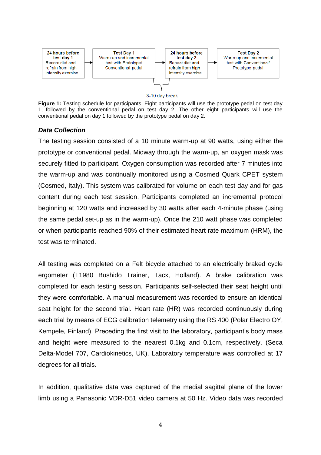

#### 3-10 day break

**Figure 1:** Testing schedule for participants. Eight participants will use the prototype pedal on test day 1, followed by the conventional pedal on test day 2. The other eight participants will use the conventional pedal on day 1 followed by the prototype pedal on day 2.

#### *Data Collection*

The testing session consisted of a 10 minute warm-up at 90 watts, using either the prototype or conventional pedal. Midway through the warm-up, an oxygen mask was securely fitted to participant. Oxygen consumption was recorded after 7 minutes into the warm-up and was continually monitored using a Cosmed Quark CPET system (Cosmed, Italy). This system was calibrated for volume on each test day and for gas content during each test session. Participants completed an incremental protocol beginning at 120 watts and increased by 30 watts after each 4-minute phase (using the same pedal set-up as in the warm-up). Once the 210 watt phase was completed or when participants reached 90% of their estimated heart rate maximum (HRM), the test was terminated.

All testing was completed on a Felt bicycle attached to an electrically braked cycle ergometer (T1980 Bushido Trainer, Tacx, Holland). A brake calibration was completed for each testing session. Participants self-selected their seat height until they were comfortable. A manual measurement was recorded to ensure an identical seat height for the second trial. Heart rate (HR) was recorded continuously during each trial by means of ECG calibration telemetry using the RS 400 (Polar Electro OY, Kempele, Finland). Preceding the first visit to the laboratory, participant's body mass and height were measured to the nearest 0.1kg and 0.1cm, respectively, (Seca Delta-Model 707, Cardiokinetics, UK). Laboratory temperature was controlled at 17 degrees for all trials.

In addition, qualitative data was captured of the medial sagittal plane of the lower limb using a Panasonic VDR-D51 video camera at 50 Hz. Video data was recorded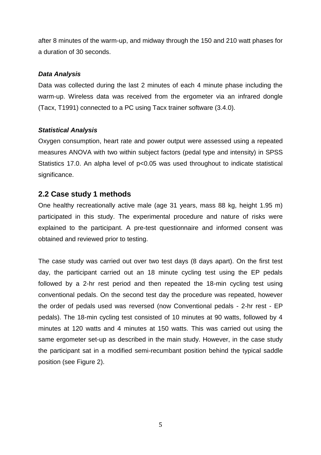after 8 minutes of the warm-up, and midway through the 150 and 210 watt phases for a duration of 30 seconds.

#### *Data Analysis*

Data was collected during the last 2 minutes of each 4 minute phase including the warm-up. Wireless data was received from the ergometer via an infrared dongle (Tacx, T1991) connected to a PC using Tacx trainer software (3.4.0).

#### *Statistical Analysis*

Oxygen consumption, heart rate and power output were assessed using a repeated measures ANOVA with two within subject factors (pedal type and intensity) in SPSS Statistics 17.0. An alpha level of p<0.05 was used throughout to indicate statistical significance.

# **2.2 Case study 1 methods**

One healthy recreationally active male (age 31 years, mass 88 kg, height 1.95 m) participated in this study. The experimental procedure and nature of risks were explained to the participant. A pre-test questionnaire and informed consent was obtained and reviewed prior to testing.

The case study was carried out over two test days (8 days apart). On the first test day, the participant carried out an 18 minute cycling test using the EP pedals followed by a 2-hr rest period and then repeated the 18-min cycling test using conventional pedals. On the second test day the procedure was repeated, however the order of pedals used was reversed (now Conventional pedals - 2-hr rest - EP pedals). The 18-min cycling test consisted of 10 minutes at 90 watts, followed by 4 minutes at 120 watts and 4 minutes at 150 watts. This was carried out using the same ergometer set-up as described in the main study. However, in the case study the participant sat in a modified semi-recumbant position behind the typical saddle position (see Figure 2).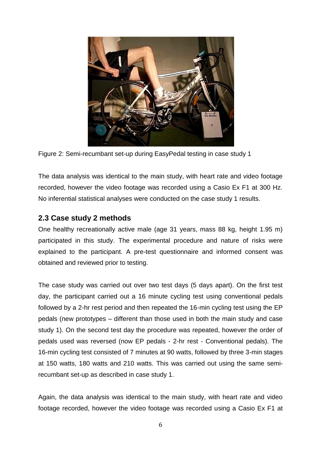

Figure 2: Semi-recumbant set-up during EasyPedal testing in case study 1

The data analysis was identical to the main study, with heart rate and video footage recorded, however the video footage was recorded using a Casio Ex F1 at 300 Hz. No inferential statistical analyses were conducted on the case study 1 results.

# **2.3 Case study 2 methods**

One healthy recreationally active male (age 31 years, mass 88 kg, height 1.95 m) participated in this study. The experimental procedure and nature of risks were explained to the participant. A pre-test questionnaire and informed consent was obtained and reviewed prior to testing.

The case study was carried out over two test days (5 days apart). On the first test day, the participant carried out a 16 minute cycling test using conventional pedals followed by a 2-hr rest period and then repeated the 16-min cycling test using the EP pedals (new prototypes – different than those used in both the main study and case study 1). On the second test day the procedure was repeated, however the order of pedals used was reversed (now EP pedals - 2-hr rest - Conventional pedals). The 16-min cycling test consisted of 7 minutes at 90 watts, followed by three 3-min stages at 150 watts, 180 watts and 210 watts. This was carried out using the same semirecumbant set-up as described in case study 1.

Again, the data analysis was identical to the main study, with heart rate and video footage recorded, however the video footage was recorded using a Casio Ex F1 at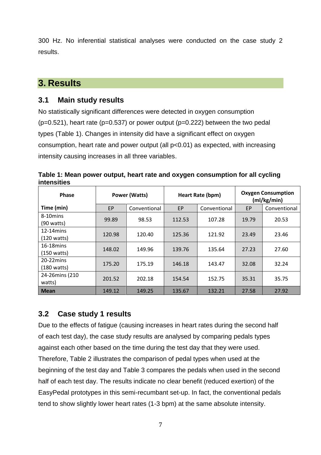300 Hz. No inferential statistical analyses were conducted on the case study 2 results.

# **3. Results**

# **3.1 Main study results**

No statistically significant differences were detected in oxygen consumption  $(p=0.521)$ , heart rate ( $p=0.537$ ) or power output ( $p=0.222$ ) between the two pedal types (Table 1). Changes in intensity did have a significant effect on oxygen consumption, heart rate and power output (all p<0.01) as expected, with increasing intensity causing increases in all three variables.

| Phase                                 |           | <b>Power (Watts)</b> | Heart Rate (bpm) |              | <b>Oxygen Consumption</b><br>(mI/kg/min) |              |
|---------------------------------------|-----------|----------------------|------------------|--------------|------------------------------------------|--------------|
| Time (min)                            | <b>EP</b> | Conventional         | EP               | Conventional | EP                                       | Conventional |
| 8-10mins<br>$(90 \text{ watts})$      | 99.89     | 98.53                | 112.53           | 107.28       | 19.79                                    | 20.53        |
| $12-14$ mins<br>$(120 \text{ watts})$ | 120.98    | 120.40               | 125.36           | 121.92       | 23.49                                    | 23.46        |
| $16-18$ mins<br>$(150 \text{ watts})$ | 148.02    | 149.96               | 139.76           | 135.64       | 27.23                                    | 27.60        |
| $20-22$ mins<br>$(180 \text{ watts})$ | 175.20    | 175.19               | 146.18           | 143.47       | 32.08                                    | 32.24        |
| 24-26mins (210<br>watts)              | 201.52    | 202.18               | 154.54           | 152.75       | 35.31                                    | 35.75        |
| <b>Mean</b>                           | 149.12    | 149.25               | 135.67           | 132.21       | 27.58                                    | 27.92        |

**Table 1: Mean power output, heart rate and oxygen consumption for all cycling intensities**

# **3.2 Case study 1 results**

Due to the effects of fatigue (causing increases in heart rates during the second half of each test day), the case study results are analysed by comparing pedals types against each other based on the time during the test day that they were used. Therefore, Table 2 illustrates the comparison of pedal types when used at the beginning of the test day and Table 3 compares the pedals when used in the second half of each test day. The results indicate no clear benefit (reduced exertion) of the EasyPedal prototypes in this semi-recumbant set-up. In fact, the conventional pedals tend to show slightly lower heart rates (1-3 bpm) at the same absolute intensity.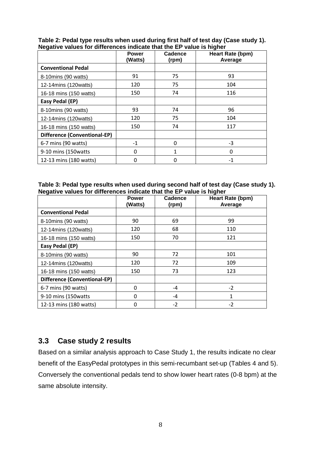|                              | <b>Power</b><br>(Watts) | Cadence<br>(rpm) | Heart Rate (bpm)<br>Average |
|------------------------------|-------------------------|------------------|-----------------------------|
| <b>Conventional Pedal</b>    |                         |                  |                             |
| 8-10mins (90 watts)          | 91                      | 75               | 93                          |
| 12-14mins (120watts)         | 120                     | 75               | 104                         |
| 16-18 mins (150 watts)       | 150                     | 74               | 116                         |
| Easy Pedal (EP)              |                         |                  |                             |
| 8-10mins (90 watts)          | 93                      | 74               | 96                          |
| 12-14mins (120watts)         | 120                     | 75               | 104                         |
| 16-18 mins (150 watts)       | 150                     | 74               | 117                         |
| Difference (Conventional-EP) |                         |                  |                             |
| 6-7 mins (90 watts)          | $-1$                    | $\mathbf{0}$     | $-3$                        |
| 9-10 mins (150 watts         | $\Omega$                | 1                | 0                           |
| 12-13 mins (180 watts)       |                         | 0                | $-1$                        |

**Table 2: Pedal type results when used during first half of test day (Case study 1). Negative values for differences indicate that the EP value is higher**

| Table 3: Pedal type results when used during second half of test day (Case study 1). |  |
|--------------------------------------------------------------------------------------|--|
| Negative values for differences indicate that the EP value is higher                 |  |

|                              | <b>Power</b><br>(Watts) | Cadence<br>(rpm) | Heart Rate (bpm)<br>Average |
|------------------------------|-------------------------|------------------|-----------------------------|
| <b>Conventional Pedal</b>    |                         |                  |                             |
| 8-10mins (90 watts)          | 90                      | 69               | 99                          |
| 12-14mins (120watts)         | 120                     | 68               | 110                         |
| 16-18 mins (150 watts)       | 150                     | 70               | 121                         |
| Easy Pedal (EP)              |                         |                  |                             |
| 8-10mins (90 watts)          | 90                      | 72               | 101                         |
| 12-14mins (120watts)         | 120                     | 72               | 109                         |
| 16-18 mins (150 watts)       | 150                     | 73               | 123                         |
| Difference (Conventional-EP) |                         |                  |                             |
| 6-7 mins (90 watts)          | $\Omega$                | $-4$             | $-2$                        |
| 9-10 mins (150 watts         | 0                       | $-4$             | 1                           |
| 12-13 mins (180 watts)       | $\Omega$                | $-2$             | $-2$                        |

# **3.3 Case study 2 results**

Based on a similar analysis approach to Case Study 1, the results indicate no clear benefit of the EasyPedal prototypes in this semi-recumbant set-up (Tables 4 and 5). Conversely the conventional pedals tend to show lower heart rates (0-8 bpm) at the same absolute intensity.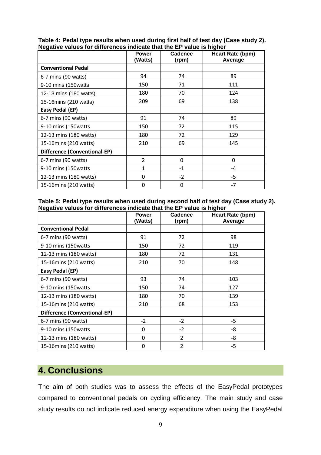|                              | <b>Power</b><br>(Watts) | Cadence<br>(rpm) | Heart Rate (bpm)<br>Average |
|------------------------------|-------------------------|------------------|-----------------------------|
| <b>Conventional Pedal</b>    |                         |                  |                             |
| 6-7 mins (90 watts)          | 94                      | 74               | 89                          |
| 9-10 mins (150 watts         | 150                     | 71               | 111                         |
| 12-13 mins (180 watts)       | 180                     | 70               | 124                         |
| 15-16mins (210 watts)        | 209                     | 69               | 138                         |
| Easy Pedal (EP)              |                         |                  |                             |
| 6-7 mins (90 watts)          | 91                      | 74               | 89                          |
| 9-10 mins (150 watts         | 150                     | 72               | 115                         |
| 12-13 mins (180 watts)       | 180                     | 72               | 129                         |
| 15-16mins (210 watts)        | 210                     | 69               | 145                         |
| Difference (Conventional-EP) |                         |                  |                             |
| 6-7 mins (90 watts)          | $\overline{2}$          | 0                | 0                           |
| 9-10 mins (150 watts         | $\mathbf{1}$            | $-1$             | $-4$                        |
| 12-13 mins (180 watts)       | $\Omega$                | $-2$             | $-5$                        |
| 15-16mins (210 watts)        | $\overline{0}$          | 0                | $-7$                        |

**Table 4: Pedal type results when used during first half of test day (Case study 2). Negative values for differences indicate that the EP value is higher**

**Table 5: Pedal type results when used during second half of test day (Case study 2). Negative values for differences indicate that the EP value is higher**

|                              | <b>Power</b><br>(Watts) | Cadence<br>(rpm) | Heart Rate (bpm)<br>Average |
|------------------------------|-------------------------|------------------|-----------------------------|
| <b>Conventional Pedal</b>    |                         |                  |                             |
| 6-7 mins (90 watts)          | 91                      | 72               | 98                          |
| 9-10 mins (150watts          | 150                     | 72               | 119                         |
| 12-13 mins (180 watts)       | 180                     | 72               | 131                         |
| 15-16mins (210 watts)        | 210                     | 70               | 148                         |
| Easy Pedal (EP)              |                         |                  |                             |
| 6-7 mins (90 watts)          | 93                      | 74               | 103                         |
| 9-10 mins (150watts          | 150                     | 74               | 127                         |
| 12-13 mins (180 watts)       | 180                     | 70               | 139                         |
| 15-16mins (210 watts)        | 210                     | 68               | 153                         |
| Difference (Conventional-EP) |                         |                  |                             |
| 6-7 mins (90 watts)          | $-2$                    | $-2$             | $-5$                        |
| 9-10 mins (150watts          | 0                       | $-2$             | -8                          |
| 12-13 mins (180 watts)       | $\Omega$                | $\overline{2}$   | $-8$                        |
| 15-16mins (210 watts)        | $\Omega$                | 2                | $-5$                        |

# **4. Conclusions**

The aim of both studies was to assess the effects of the EasyPedal prototypes compared to conventional pedals on cycling efficiency. The main study and case study results do not indicate reduced energy expenditure when using the EasyPedal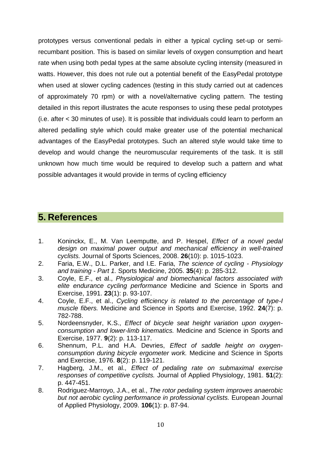prototypes versus conventional pedals in either a typical cycling set-up or semirecumbant position. This is based on similar levels of oxygen consumption and heart rate when using both pedal types at the same absolute cycling intensity (measured in watts. However, this does not rule out a potential benefit of the EasyPedal prototype when used at slower cycling cadences (testing in this study carried out at cadences of approximately 70 rpm) or with a novel/alternative cycling pattern. The testing detailed in this report illustrates the acute responses to using these pedal prototypes (i.e. after < 30 minutes of use). It is possible that individuals could learn to perform an altered pedalling style which could make greater use of the potential mechanical advantages of the EasyPedal prototypes. Such an altered style would take time to develop and would change the neuromuscular requirements of the task. It is still unknown how much time would be required to develop such a pattern and what possible advantages it would provide in terms of cycling efficiency

# **5. References**

- 1. Koninckx, E., M. Van Leemputte, and P. Hespel, *Effect of a novel pedal design on maximal power output and mechanical efficiency in well-trained cyclists.* Journal of Sports Sciences, 2008. **26**(10): p. 1015-1023.
- 2. Faria, E.W., D.L. Parker, and I.E. Faria, *The science of cycling - Physiology and training - Part 1.* Sports Medicine, 2005. **35**(4): p. 285-312.
- 3. Coyle, E.F., et al., *Physiological and biomechanical factors associated with elite endurance cycling performance* Medicine and Science in Sports and Exercise, 1991. **23**(1): p. 93-107.
- 4. Coyle, E.F., et al., *Cycling efficiency is related to the percentage of type-I muscle fibers.* Medicine and Science in Sports and Exercise, 1992. **24**(7): p. 782-788.
- 5. Nordeensnyder, K.S., *Effect of bicycle seat height variation upon oxygenconsumption and lower-limb kinematics.* Medicine and Science in Sports and Exercise, 1977. **9**(2): p. 113-117.
- 6. Shennum, P.L. and H.A. Devries, *Effect of saddle height on oxygenconsumption during bicycle ergometer work.* Medicine and Science in Sports and Exercise, 1976. **8**(2): p. 119-121.
- 7. Hagberg, J.M., et al., *Effect of pedaling rate on submaximal exercise responses of competitive cyclists.* Journal of Applied Physiology, 1981. **51**(2): p. 447-451.
- 8. Rodriguez-Marroyo, J.A., et al., *The rotor pedaling system improves anaerobic but not aerobic cycling performance in professional cyclists.* European Journal of Applied Physiology, 2009. **106**(1): p. 87-94.